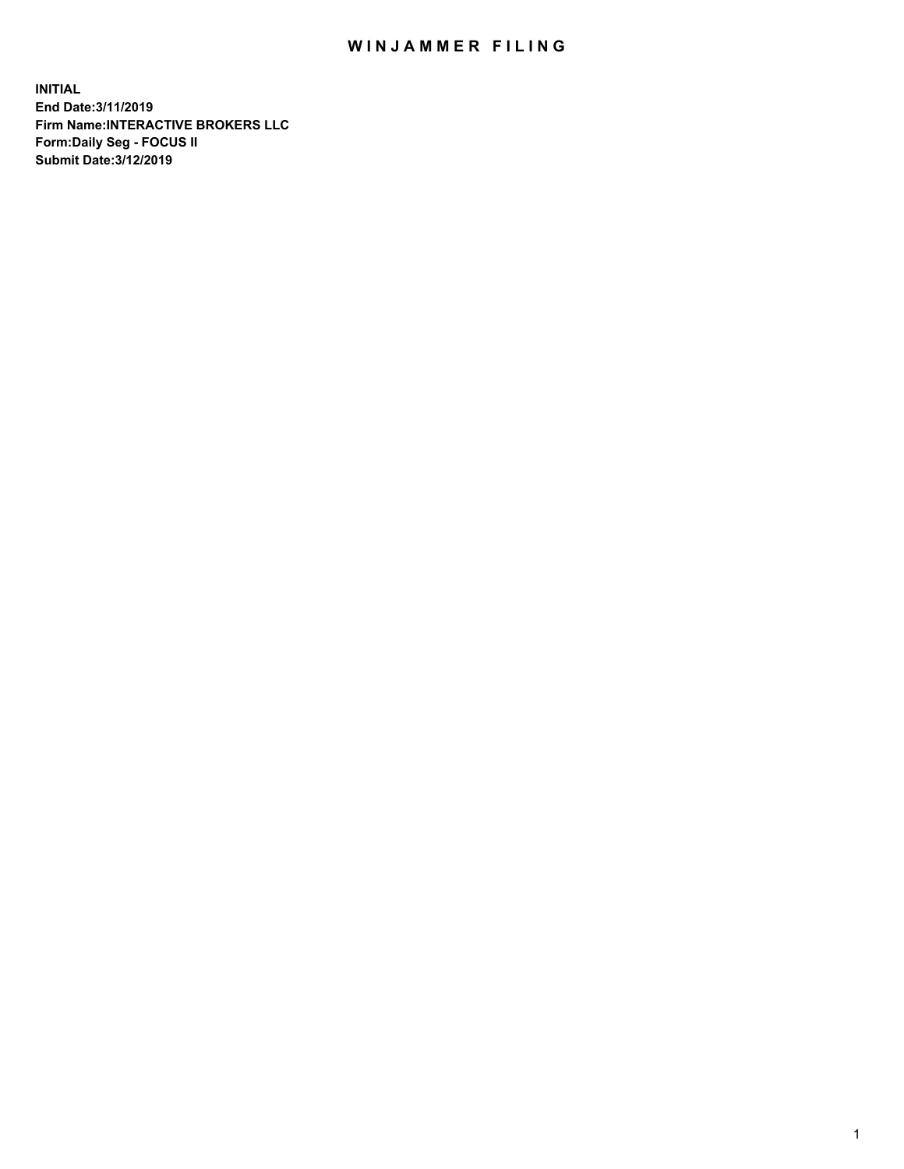## WIN JAMMER FILING

**INITIAL End Date:3/11/2019 Firm Name:INTERACTIVE BROKERS LLC Form:Daily Seg - FOCUS II Submit Date:3/12/2019**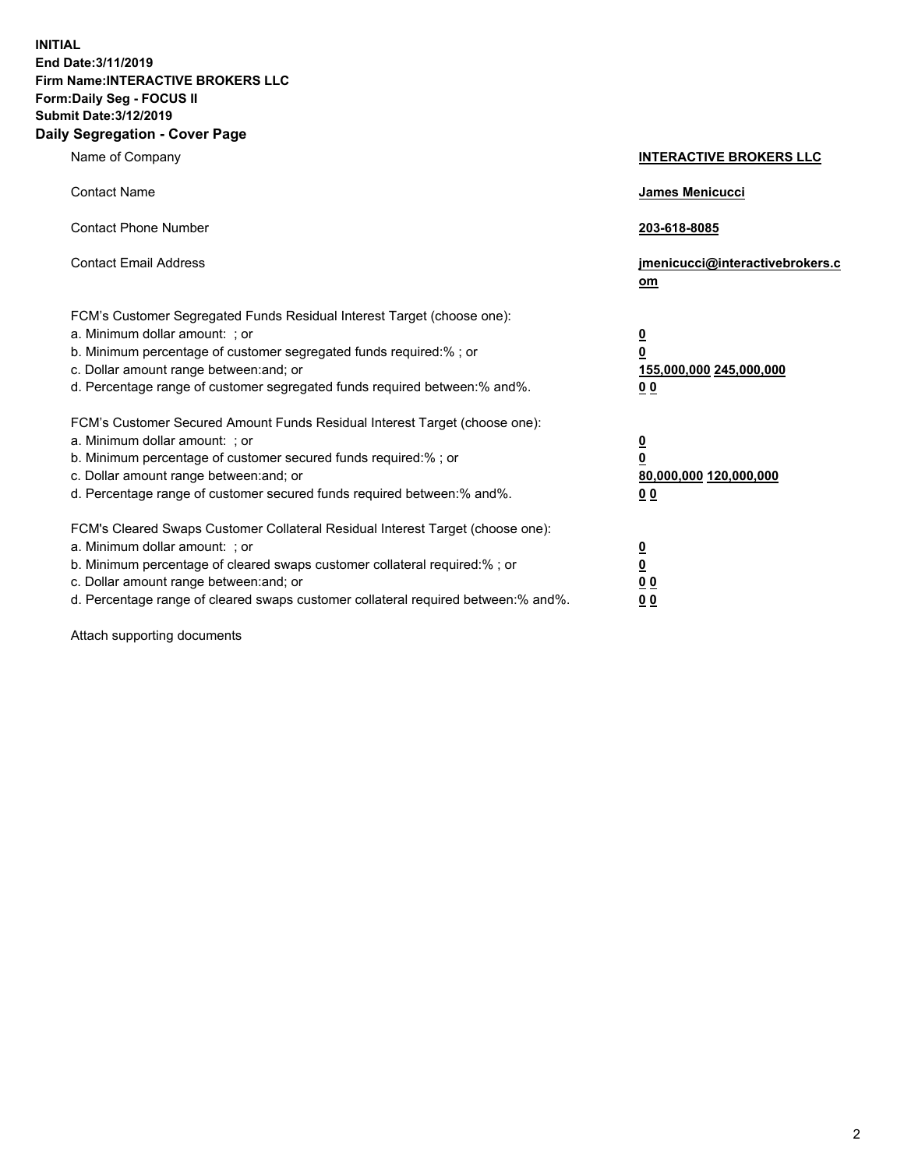**INITIAL End Date:3/11/2019 Firm Name:INTERACTIVE BROKERS LLC Form:Daily Seg - FOCUS II Submit Date:3/12/2019 Daily Segregation - Cover Page**

| Name of Company                                                                                                                                                                                                                                                                                                                | <b>INTERACTIVE BROKERS LLC</b>                                                                  |
|--------------------------------------------------------------------------------------------------------------------------------------------------------------------------------------------------------------------------------------------------------------------------------------------------------------------------------|-------------------------------------------------------------------------------------------------|
| <b>Contact Name</b>                                                                                                                                                                                                                                                                                                            | James Menicucci                                                                                 |
| <b>Contact Phone Number</b>                                                                                                                                                                                                                                                                                                    | 203-618-8085                                                                                    |
| <b>Contact Email Address</b>                                                                                                                                                                                                                                                                                                   | jmenicucci@interactivebrokers.c<br>om                                                           |
| FCM's Customer Segregated Funds Residual Interest Target (choose one):<br>a. Minimum dollar amount: ; or<br>b. Minimum percentage of customer segregated funds required:% ; or<br>c. Dollar amount range between: and; or<br>d. Percentage range of customer segregated funds required between:% and%.                         | $\overline{\mathbf{0}}$<br>$\overline{\mathbf{0}}$<br>155,000,000 245,000,000<br>0 <sub>0</sub> |
| FCM's Customer Secured Amount Funds Residual Interest Target (choose one):<br>a. Minimum dollar amount: ; or<br>b. Minimum percentage of customer secured funds required:%; or<br>c. Dollar amount range between: and; or<br>d. Percentage range of customer secured funds required between:% and%.                            | $\overline{\mathbf{0}}$<br>$\overline{\mathbf{0}}$<br>80,000,000 120,000,000<br>00              |
| FCM's Cleared Swaps Customer Collateral Residual Interest Target (choose one):<br>a. Minimum dollar amount: ; or<br>b. Minimum percentage of cleared swaps customer collateral required:% ; or<br>c. Dollar amount range between: and; or<br>d. Percentage range of cleared swaps customer collateral required between:% and%. | $\overline{\mathbf{0}}$<br>$\underline{\mathbf{0}}$<br>0 <sub>0</sub><br>0 <sub>0</sub>         |

Attach supporting documents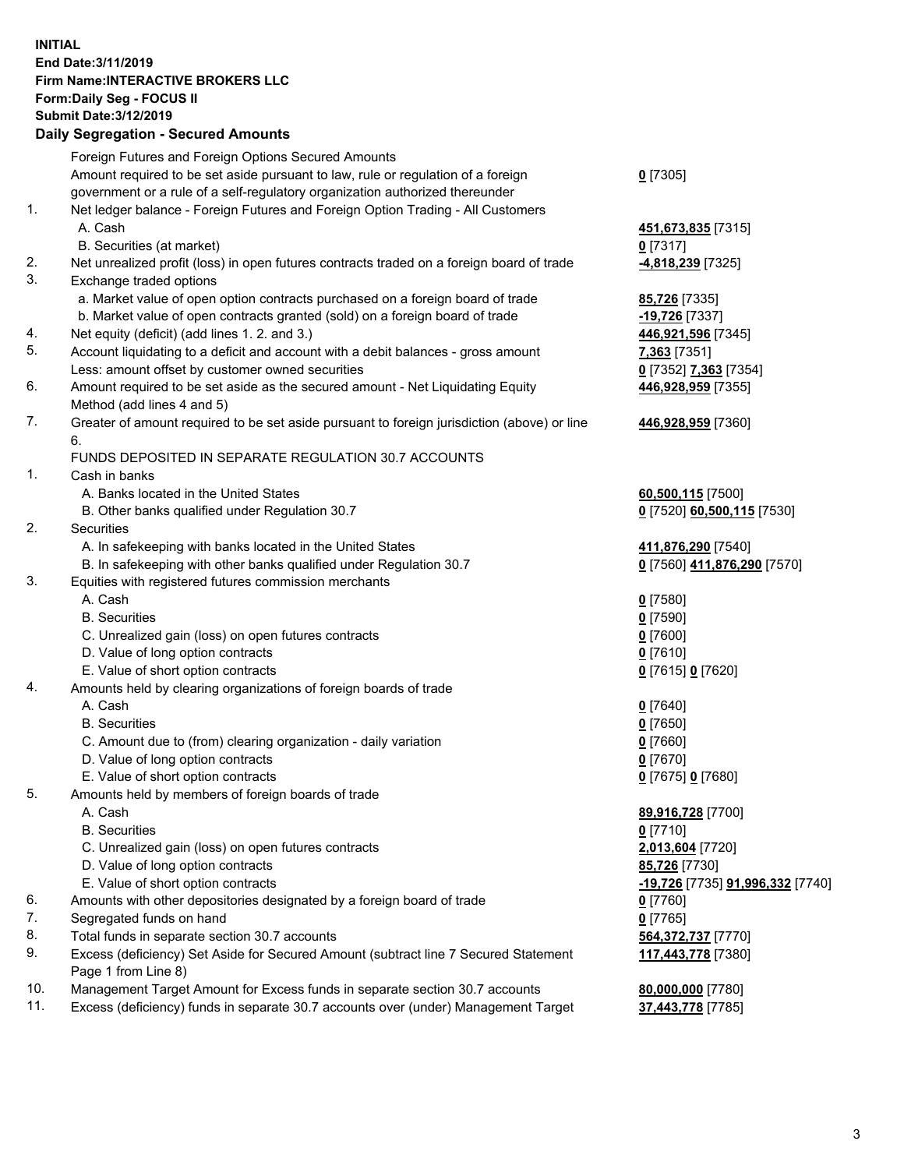## **INITIAL End Date:3/11/2019 Firm Name:INTERACTIVE BROKERS LLC Form:Daily Seg - FOCUS II Submit Date:3/12/2019 Daily Segregation - Secured Amounts**

|                | Daily Jegregation - Jeculed Aniounts                                                              |                                                      |
|----------------|---------------------------------------------------------------------------------------------------|------------------------------------------------------|
|                | Foreign Futures and Foreign Options Secured Amounts                                               |                                                      |
|                | Amount required to be set aside pursuant to law, rule or regulation of a foreign                  | $0$ [7305]                                           |
|                | government or a rule of a self-regulatory organization authorized thereunder                      |                                                      |
| $\mathbf{1}$ . | Net ledger balance - Foreign Futures and Foreign Option Trading - All Customers                   |                                                      |
|                | A. Cash                                                                                           | 451,673,835 [7315]                                   |
|                | B. Securities (at market)                                                                         | $0$ [7317]                                           |
| 2.             | Net unrealized profit (loss) in open futures contracts traded on a foreign board of trade         | 4,818,239 [7325]                                     |
| 3.             | Exchange traded options                                                                           |                                                      |
|                | a. Market value of open option contracts purchased on a foreign board of trade                    | <b>85,726</b> [7335]                                 |
|                | b. Market value of open contracts granted (sold) on a foreign board of trade                      | -19,726 [7337]                                       |
| 4.             | Net equity (deficit) (add lines 1.2. and 3.)                                                      | 446,921,596 [7345]                                   |
| 5.             | Account liquidating to a deficit and account with a debit balances - gross amount                 | 7,363 [7351]                                         |
|                | Less: amount offset by customer owned securities                                                  | 0 [7352] 7,363 [7354]                                |
| 6.             | Amount required to be set aside as the secured amount - Net Liquidating Equity                    | 446,928,959 [7355]                                   |
|                | Method (add lines 4 and 5)                                                                        |                                                      |
| 7.             | Greater of amount required to be set aside pursuant to foreign jurisdiction (above) or line<br>6. | 446,928,959 [7360]                                   |
|                | FUNDS DEPOSITED IN SEPARATE REGULATION 30.7 ACCOUNTS                                              |                                                      |
| 1.             | Cash in banks                                                                                     |                                                      |
|                | A. Banks located in the United States                                                             | 60,500,115 [7500]                                    |
|                | B. Other banks qualified under Regulation 30.7                                                    | 0 [7520] 60,500,115 [7530]                           |
| 2.             | Securities                                                                                        |                                                      |
|                | A. In safekeeping with banks located in the United States                                         | 411,876,290 [7540]                                   |
|                | B. In safekeeping with other banks qualified under Regulation 30.7                                | 0 [7560] 411,876,290 [7570]                          |
| 3.             | Equities with registered futures commission merchants                                             |                                                      |
|                | A. Cash                                                                                           | $0$ [7580]                                           |
|                | <b>B.</b> Securities                                                                              | $0$ [7590]                                           |
|                | C. Unrealized gain (loss) on open futures contracts                                               | $0$ [7600]                                           |
|                | D. Value of long option contracts                                                                 | $0$ [7610]                                           |
|                | E. Value of short option contracts                                                                | 0 [7615] 0 [7620]                                    |
| 4.             | Amounts held by clearing organizations of foreign boards of trade                                 |                                                      |
|                | A. Cash                                                                                           | $0$ [7640]                                           |
|                | <b>B.</b> Securities                                                                              | $0$ [7650]                                           |
|                | C. Amount due to (from) clearing organization - daily variation                                   | $0$ [7660]                                           |
|                | D. Value of long option contracts                                                                 | $0$ [7670]                                           |
|                | E. Value of short option contracts                                                                | 0 [7675] 0 [7680]                                    |
| 5.             | Amounts held by members of foreign boards of trade                                                |                                                      |
|                | A. Cash                                                                                           | 89,916,728 [7700]                                    |
|                | <b>B.</b> Securities                                                                              | $0$ [7710]                                           |
|                | C. Unrealized gain (loss) on open futures contracts                                               | 2,013,604 [7720]                                     |
|                | D. Value of long option contracts                                                                 | 85,726 [7730]                                        |
|                | E. Value of short option contracts                                                                | <mark>-19,726</mark> [7735] <b>91,996,332</b> [7740] |
| 6.             | Amounts with other depositories designated by a foreign board of trade                            | 0 [7760]                                             |
| 7.             | Segregated funds on hand                                                                          | $0$ [7765]                                           |
| 8.             | Total funds in separate section 30.7 accounts                                                     | 564, 372, 737 [7770]                                 |
| 9.             | Excess (deficiency) Set Aside for Secured Amount (subtract line 7 Secured Statement               | 117,443,778 [7380]                                   |
|                | Page 1 from Line 8)                                                                               |                                                      |
| 10.            | Management Target Amount for Excess funds in separate section 30.7 accounts                       | 80,000,000 [7780]                                    |
| 11.            | Excess (deficiency) funds in separate 30.7 accounts over (under) Management Target                | 37,443,778 [7785]                                    |
|                |                                                                                                   |                                                      |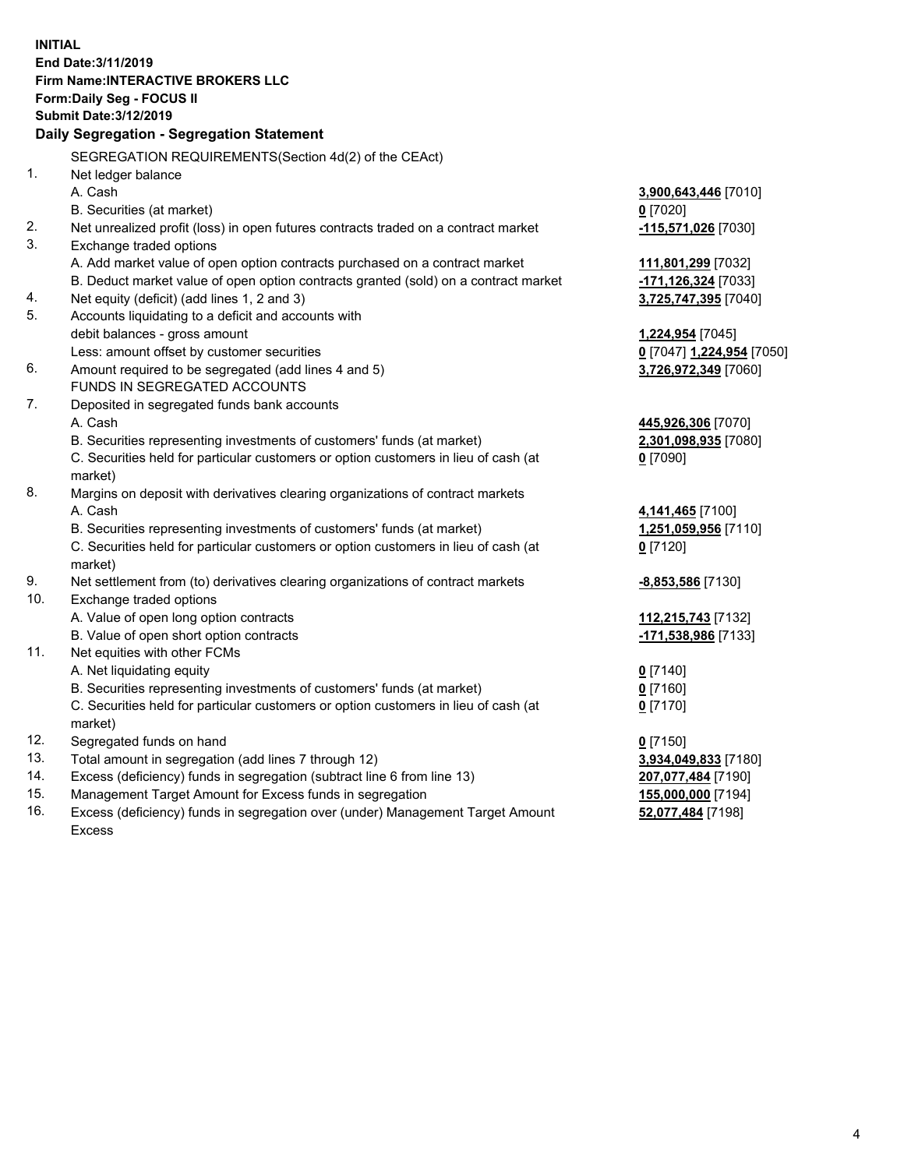**INITIAL End Date:3/11/2019 Firm Name:INTERACTIVE BROKERS LLC Form:Daily Seg - FOCUS II Submit Date:3/12/2019 Daily Segregation - Segregation Statement** SEGREGATION REQUIREMENTS(Section 4d(2) of the CEAct) 1. Net ledger balance A. Cash **3,900,643,446** [7010] B. Securities (at market) **0** [7020] 2. Net unrealized profit (loss) in open futures contracts traded on a contract market **-115,571,026** [7030] 3. Exchange traded options A. Add market value of open option contracts purchased on a contract market **111,801,299** [7032] B. Deduct market value of open option contracts granted (sold) on a contract market **-171,126,324** [7033] 4. Net equity (deficit) (add lines 1, 2 and 3) **3,725,747,395** [7040] 5. Accounts liquidating to a deficit and accounts with debit balances - gross amount **1,224,954** [7045] Less: amount offset by customer securities **0** [7047] **1,224,954** [7050] 6. Amount required to be segregated (add lines 4 and 5) **3,726,972,349** [7060] FUNDS IN SEGREGATED ACCOUNTS 7. Deposited in segregated funds bank accounts A. Cash **445,926,306** [7070] B. Securities representing investments of customers' funds (at market) **2,301,098,935** [7080] C. Securities held for particular customers or option customers in lieu of cash (at market) **0** [7090] 8. Margins on deposit with derivatives clearing organizations of contract markets A. Cash **4,141,465** [7100] B. Securities representing investments of customers' funds (at market) **1,251,059,956** [7110] C. Securities held for particular customers or option customers in lieu of cash (at market) **0** [7120] 9. Net settlement from (to) derivatives clearing organizations of contract markets **-8,853,586** [7130] 10. Exchange traded options A. Value of open long option contracts **112,215,743** [7132] B. Value of open short option contracts **-171,538,986** [7133] 11. Net equities with other FCMs A. Net liquidating equity **0** [7140] B. Securities representing investments of customers' funds (at market) **0** [7160] C. Securities held for particular customers or option customers in lieu of cash (at market) **0** [7170] 12. Segregated funds on hand **0** [7150] 13. Total amount in segregation (add lines 7 through 12) **3,934,049,833** [7180] 14. Excess (deficiency) funds in segregation (subtract line 6 from line 13) **207,077,484** [7190] 15. Management Target Amount for Excess funds in segregation **155,000,000** [7194]

16. Excess (deficiency) funds in segregation over (under) Management Target Amount Excess

**52,077,484** [7198]